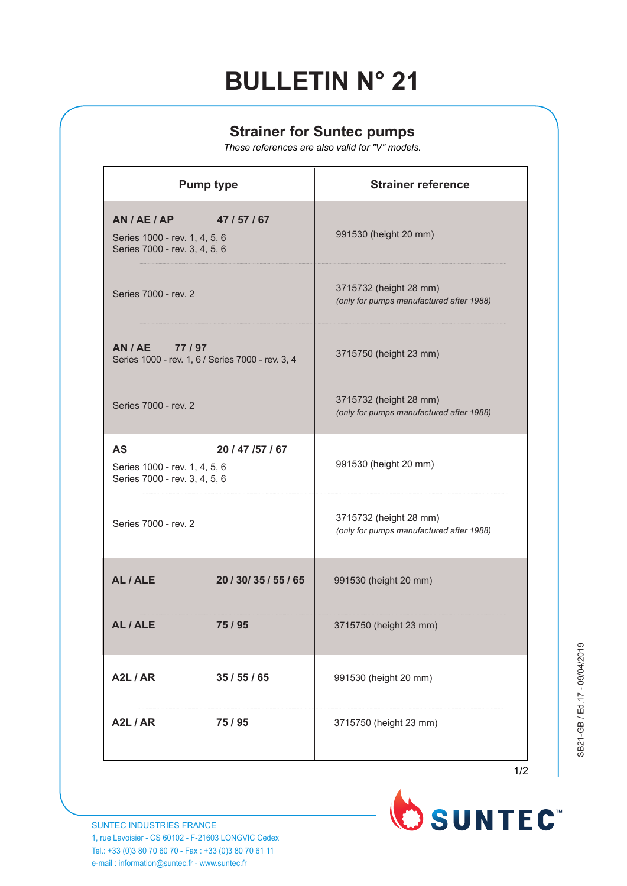## **BULLETIN N° 21**

## **Strainer for Suntec pumps**

*These references are also valid for "V" models.*

| <b>Pump type</b>                                                            |                        | <b>Strainer reference</b>                                          |
|-----------------------------------------------------------------------------|------------------------|--------------------------------------------------------------------|
| AN/AE/AP<br>Series 1000 - rev. 1, 4, 5, 6<br>Series 7000 - rev. 3, 4, 5, 6  | 47 / 57 / 67           | 991530 (height 20 mm)                                              |
| Series 7000 - rev. 2                                                        |                        | 3715732 (height 28 mm)<br>(only for pumps manufactured after 1988) |
| AN / AE 77 / 97<br>Series 1000 - rev. 1, 6 / Series 7000 - rev. 3, 4        |                        | 3715750 (height 23 mm)                                             |
| Series 7000 - rev. 2                                                        |                        | 3715732 (height 28 mm)<br>(only for pumps manufactured after 1988) |
| <b>AS</b><br>Series 1000 - rev. 1, 4, 5, 6<br>Series 7000 - rev. 3, 4, 5, 6 | 20 / 47 / 57 / 67      | 991530 (height 20 mm)                                              |
| Series 7000 - rev. 2                                                        |                        | 3715732 (height 28 mm)<br>(only for pumps manufactured after 1988) |
| AL/ALE                                                                      | 20 / 30 / 35 / 55 / 65 | 991530 (height 20 mm)                                              |
| AL / ALE                                                                    | 75/95                  | 3715750 (height 23 mm)                                             |
| A2L / AR                                                                    | 35/55/65               | 991530 (height 20 mm)                                              |
| A2L/AR                                                                      | 75/95                  | 3715750 (height 23 mm)                                             |





SUNTEC INDUSTRIES FRANCE 1, rue Lavoisier - CS 60102 - F-21603 LONGVIC Cedex Tel.: +33 (0)3 80 70 60 70 - Fax : +33 (0)3 80 70 61 11 e-mail : information@suntec.fr - www.suntec.fr